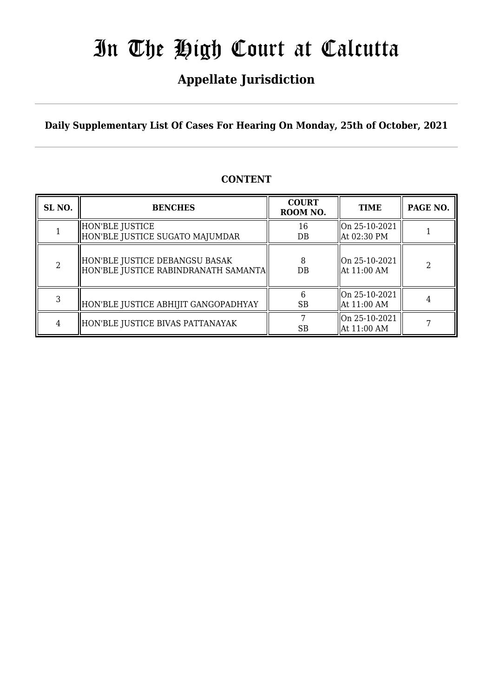## **Appellate Jurisdiction**

**Daily Supplementary List Of Cases For Hearing On Monday, 25th of October, 2021**

| SL <sub>NO.</sub> | <b>BENCHES</b>                                                         | <b>COURT</b><br>ROOM NO. | <b>TIME</b>                     | PAGE NO. |
|-------------------|------------------------------------------------------------------------|--------------------------|---------------------------------|----------|
|                   | HON'BLE JUSTICE<br>HON'BLE JUSTICE SUGATO MAJUMDAR                     | 16<br>$DB$               | On 25-10-2021<br>At 02:30 PM    |          |
|                   | HON'BLE JUSTICE DEBANGSU BASAK<br>HON'BLE JUSTICE RABINDRANATH SAMANTA | 8<br>DB                  | $ On 25-10-2021$<br>At 11:00 AM | 2        |
|                   | HON'BLE JUSTICE ABHIJIT GANGOPADHYAY                                   | <b>SB</b>                | On 25-10-2021<br>At 11:00 AM    |          |
|                   | HON'BLE JUSTICE BIVAS PATTANAYAK                                       | SB                       | On 25-10-2021<br>At 11:00 AM    |          |

### **CONTENT**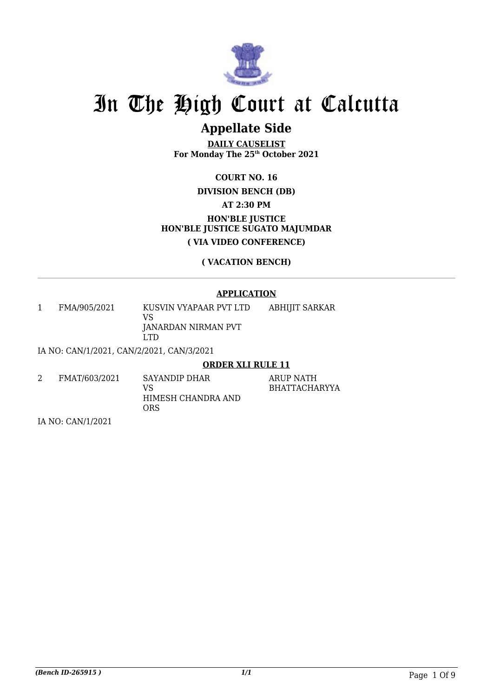

## **Appellate Side**

**DAILY CAUSELIST For Monday The 25th October 2021**

**COURT NO. 16**

### **DIVISION BENCH (DB)**

**AT 2:30 PM**

**HON'BLE JUSTICE HON'BLE JUSTICE SUGATO MAJUMDAR ( VIA VIDEO CONFERENCE)**

**( VACATION BENCH)**

#### **APPLICATION**

1 FMA/905/2021 KUSVIN VYAPAAR PVT LTD VS JANARDAN NIRMAN PVT LTD ABHIJIT SARKAR

IA NO: CAN/1/2021, CAN/2/2021, CAN/3/2021

#### **ORDER XLI RULE 11**

ARUP NATH BHATTACHARYYA

| FMAT/603/2021 | SAYANDIP DHAR<br>VS<br>HIMESH CHANDRA AND |
|---------------|-------------------------------------------|
|               | ORS                                       |

IA NO: CAN/1/2021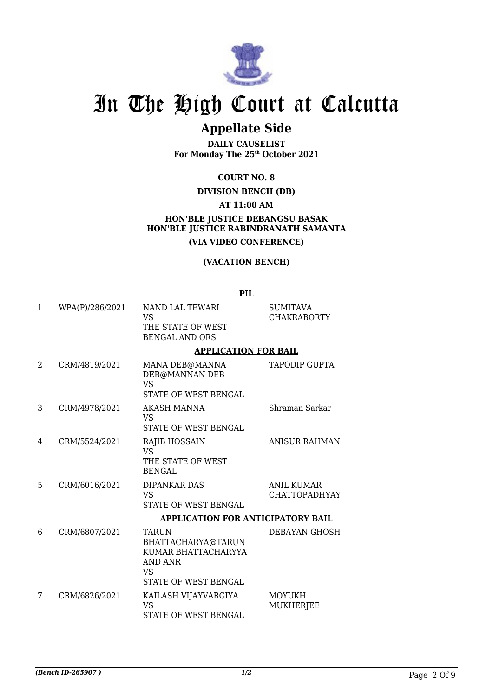

### **Appellate Side**

**DAILY CAUSELIST For Monday The 25th October 2021**

**COURT NO. 8**

#### **DIVISION BENCH (DB)**

**AT 11:00 AM**

#### **HON'BLE JUSTICE DEBANGSU BASAK HON'BLE JUSTICE RABINDRANATH SAMANTA (VIA VIDEO CONFERENCE)**

#### **(VACATION BENCH)**

|   |                 | PIL                                                                                                                    |                                           |
|---|-----------------|------------------------------------------------------------------------------------------------------------------------|-------------------------------------------|
| 1 | WPA(P)/286/2021 | NAND LAL TEWARI<br><b>VS</b><br>THE STATE OF WEST<br><b>BENGAL AND ORS</b>                                             | <b>SUMITAVA</b><br><b>CHAKRABORTY</b>     |
|   |                 | <b>APPLICATION FOR BAIL</b>                                                                                            |                                           |
| 2 | CRM/4819/2021   | MANA DEB@MANNA<br>DEB@MANNAN DEB<br><b>VS</b><br><b>STATE OF WEST BENGAL</b>                                           | <b>TAPODIP GUPTA</b>                      |
| 3 | CRM/4978/2021   | <b>AKASH MANNA</b><br><b>VS</b><br><b>STATE OF WEST BENGAL</b>                                                         | Shraman Sarkar                            |
| 4 | CRM/5524/2021   | <b>RAJIB HOSSAIN</b><br><b>VS</b><br>THE STATE OF WEST<br><b>BENGAL</b>                                                | <b>ANISUR RAHMAN</b>                      |
| 5 | CRM/6016/2021   | <b>DIPANKAR DAS</b><br><b>VS</b><br><b>STATE OF WEST BENGAL</b>                                                        | <b>ANIL KUMAR</b><br><b>CHATTOPADHYAY</b> |
|   |                 | <b>APPLICATION FOR ANTICIPATORY BAIL</b>                                                                               |                                           |
| 6 | CRM/6807/2021   | TARUN<br>BHATTACHARYA@TARUN<br>KUMAR BHATTACHARYYA<br><b>AND ANR</b><br>VS <sub>1</sub><br><b>STATE OF WEST BENGAL</b> | DEBAYAN GHOSH                             |
| 7 | CRM/6826/2021   | KAILASH VIJAYVARGIYA<br><b>VS</b><br>STATE OF WEST BENGAL                                                              | MOYUKH<br><b>MUKHERJEE</b>                |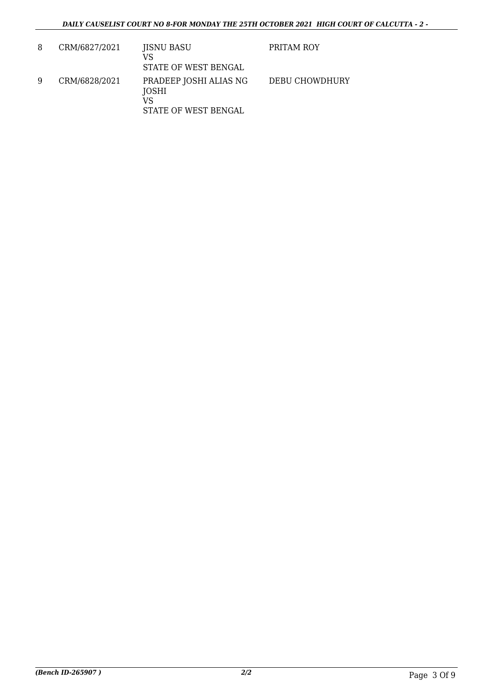| 8 | CRM/6827/2021 | JISNU BASU<br>VS<br>STATE OF WEST BENGAL                      | PRITAM ROY     |
|---|---------------|---------------------------------------------------------------|----------------|
| 9 | CRM/6828/2021 | PRADEEP JOSHI ALIAS NG<br>JOSHI<br>VS<br>STATE OF WEST BENGAL | DEBU CHOWDHURY |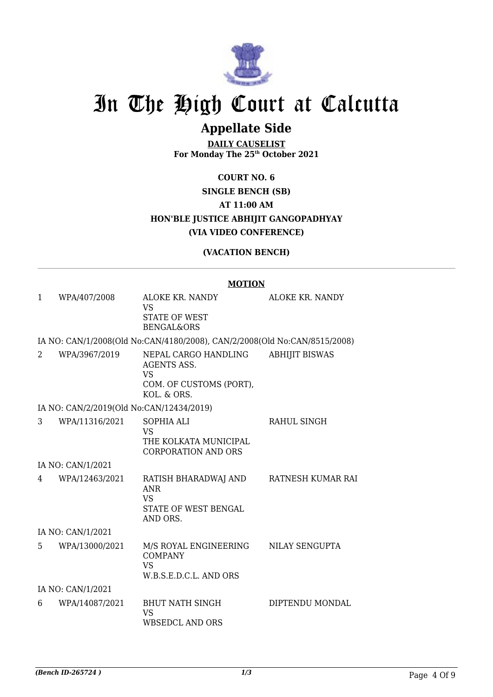

## **Appellate Side**

**DAILY CAUSELIST For Monday The 25th October 2021**

### **COURT NO. 6 SINGLE BENCH (SB) AT 11:00 AM HON'BLE JUSTICE ABHIJIT GANGOPADHYAY (VIA VIDEO CONFERENCE)**

#### **(VACATION BENCH)**

#### **MOTION**

| $\mathbf{1}$ | WPA/407/2008                             | ALOKE KR. NANDY<br><b>VS</b><br><b>STATE OF WEST</b><br><b>BENGAL&amp;ORS</b>              | ALOKE KR. NANDY       |
|--------------|------------------------------------------|--------------------------------------------------------------------------------------------|-----------------------|
|              |                                          | IA NO: CAN/1/2008(Old No:CAN/4180/2008), CAN/2/2008(Old No:CAN/8515/2008)                  |                       |
| $2^{\circ}$  | WPA/3967/2019                            | NEPAL CARGO HANDLING<br>AGENTS ASS.<br><b>VS</b><br>COM. OF CUSTOMS (PORT),<br>KOL. & ORS. | <b>ABHIJIT BISWAS</b> |
|              | IA NO: CAN/2/2019(Old No:CAN/12434/2019) |                                                                                            |                       |
| 3            | WPA/11316/2021                           | <b>SOPHIA ALI</b><br><b>VS</b><br>THE KOLKATA MUNICIPAL<br><b>CORPORATION AND ORS</b>      | RAHUL SINGH           |
|              | IA NO: CAN/1/2021                        |                                                                                            |                       |
| 4            | WPA/12463/2021                           | RATISH BHARADWAJ AND<br><b>ANR</b><br><b>VS</b><br>STATE OF WEST BENGAL<br>AND ORS.        | RATNESH KUMAR RAI     |
|              | IA NO: CAN/1/2021                        |                                                                                            |                       |
| 5            | WPA/13000/2021                           | M/S ROYAL ENGINEERING<br><b>COMPANY</b><br><b>VS</b><br>W.B.S.E.D.C.L. AND ORS             | <b>NILAY SENGUPTA</b> |
|              | IA NO: CAN/1/2021                        |                                                                                            |                       |
| 6            | WPA/14087/2021                           | <b>BHUT NATH SINGH</b><br><b>VS</b><br><b>WBSEDCL AND ORS</b>                              | DIPTENDU MONDAL       |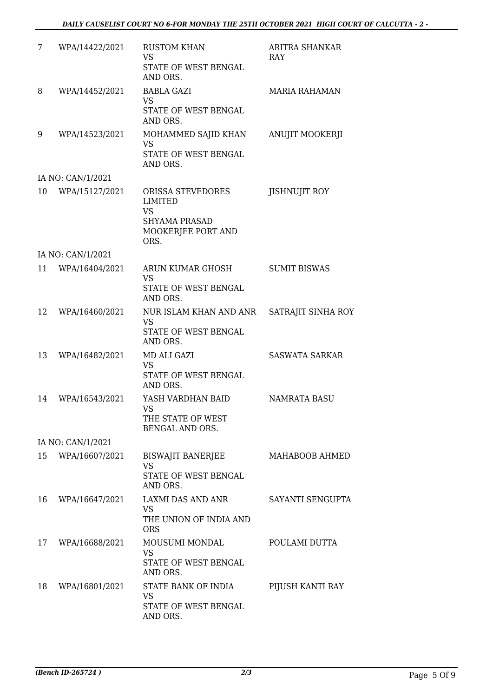| 7  | WPA/14422/2021    | <b>RUSTOM KHAN</b><br><b>VS</b><br>STATE OF WEST BENGAL<br>AND ORS.                                    | ARITRA SHANKAR<br><b>RAY</b> |
|----|-------------------|--------------------------------------------------------------------------------------------------------|------------------------------|
| 8  | WPA/14452/2021    | BABLA GAZI<br><b>VS</b><br>STATE OF WEST BENGAL<br>AND ORS.                                            | <b>MARIA RAHAMAN</b>         |
| 9  | WPA/14523/2021    | MOHAMMED SAJID KHAN<br><b>VS</b><br>STATE OF WEST BENGAL<br>AND ORS.                                   | <b>ANUJIT MOOKERJI</b>       |
|    | IA NO: CAN/1/2021 |                                                                                                        |                              |
| 10 | WPA/15127/2021    | ORISSA STEVEDORES<br><b>LIMITED</b><br><b>VS</b><br><b>SHYAMA PRASAD</b><br>MOOKERJEE PORT AND<br>ORS. | <b>JISHNUJIT ROY</b>         |
|    | IA NO: CAN/1/2021 |                                                                                                        |                              |
| 11 | WPA/16404/2021    | <b>ARUN KUMAR GHOSH</b><br><b>VS</b><br>STATE OF WEST BENGAL                                           | <b>SUMIT BISWAS</b>          |
|    |                   | AND ORS.                                                                                               |                              |
| 12 | WPA/16460/2021    | NUR ISLAM KHAN AND ANR<br><b>VS</b><br>STATE OF WEST BENGAL<br>AND ORS.                                | SATRAJIT SINHA ROY           |
| 13 | WPA/16482/2021    | MD ALI GAZI<br><b>VS</b><br>STATE OF WEST BENGAL<br>AND ORS.                                           | <b>SASWATA SARKAR</b>        |
| 14 | WPA/16543/2021    | YASH VARDHAN BAID<br>VS FOR THE STREET<br>THE STATE OF WEST<br>BENGAL AND ORS.                         | NAMRATA BASU                 |
|    | IA NO: CAN/1/2021 |                                                                                                        |                              |
| 15 | WPA/16607/2021    | BISWAJIT BANERJEE<br><b>VS</b><br>STATE OF WEST BENGAL<br>AND ORS.                                     | MAHABOOB AHMED               |
| 16 | WPA/16647/2021    | LAXMI DAS AND ANR<br><b>VS</b><br>THE UNION OF INDIA AND<br><b>ORS</b>                                 | SAYANTI SENGUPTA             |
| 17 | WPA/16688/2021    | MOUSUMI MONDAL<br><b>VS</b><br>STATE OF WEST BENGAL<br>AND ORS.                                        | POULAMI DUTTA                |
| 18 | WPA/16801/2021    | STATE BANK OF INDIA<br>VS<br>STATE OF WEST BENGAL<br>AND ORS.                                          | PIJUSH KANTI RAY             |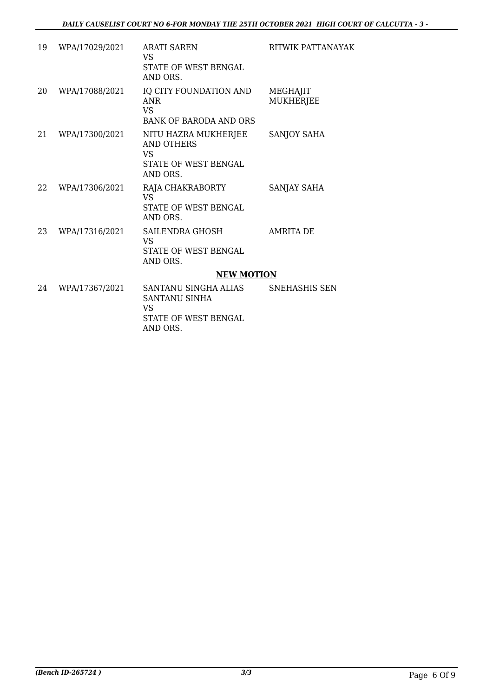| 19 | WPA/17029/2021 | ARATI SAREN<br><b>VS</b><br>STATE OF WEST BENGAL                                               | RITWIK PATTANAYAK     |
|----|----------------|------------------------------------------------------------------------------------------------|-----------------------|
| 20 | WPA/17088/2021 | AND ORS.<br>IQ CITY FOUNDATION AND<br><b>ANR</b><br><b>VS</b><br><b>BANK OF BARODA AND ORS</b> | MEGHAJIT<br>MUKHERJEE |
| 21 | WPA/17300/2021 | NITU HAZRA MUKHERJEE<br>AND OTHERS<br><b>VS</b><br>STATE OF WEST BENGAL<br>AND ORS.            | <b>SANJOY SAHA</b>    |
| 22 | WPA/17306/2021 | RAJA CHAKRABORTY<br><b>VS</b><br>STATE OF WEST BENGAL<br>AND ORS.                              | SANJAY SAHA           |
| 23 | WPA/17316/2021 | SAILENDRA GHOSH<br><b>VS</b><br>STATE OF WEST BENGAL<br>AND ORS.                               | <b>AMRITA DE</b>      |
|    |                | <b>NEW MOTION</b>                                                                              |                       |
| 24 | WPA/17367/2021 | SANTANU SINGHA ALIAS<br>SANTANU SINHA<br><b>VS</b><br>STATE OF WEST BENGAL<br>AND ORS.         | SNEHASHIS SEN         |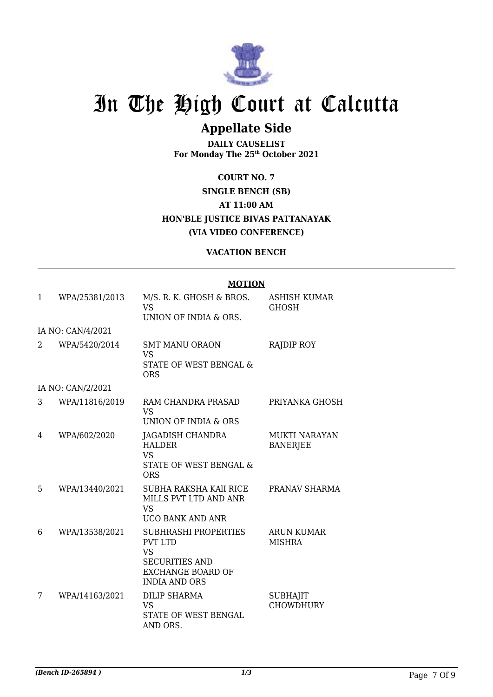

## **Appellate Side**

**DAILY CAUSELIST For Monday The 25th October 2021**

**COURT NO. 7 SINGLE BENCH (SB) AT 11:00 AM HON'BLE JUSTICE BIVAS PATTANAYAK (VIA VIDEO CONFERENCE)**

#### **VACATION BENCH**

#### **MOTION**

| 1 | WPA/25381/2013    | M/S. R. K. GHOSH & BROS.<br><b>VS</b><br>UNION OF INDIA & ORS.                                                                          | <b>ASHISH KUMAR</b><br><b>GHOSH</b>     |
|---|-------------------|-----------------------------------------------------------------------------------------------------------------------------------------|-----------------------------------------|
|   | IA NO: CAN/4/2021 |                                                                                                                                         |                                         |
| 2 | WPA/5420/2014     | <b>SMT MANU ORAON</b><br><b>VS</b><br>STATE OF WEST BENGAL &<br><b>ORS</b>                                                              | <b>RAJDIP ROY</b>                       |
|   | IA NO: CAN/2/2021 |                                                                                                                                         |                                         |
| 3 | WPA/11816/2019    | RAM CHANDRA PRASAD<br><b>VS</b><br>UNION OF INDIA & ORS                                                                                 | PRIYANKA GHOSH                          |
| 4 | WPA/602/2020      | JAGADISH CHANDRA<br><b>HALDER</b><br><b>VS</b><br><b>STATE OF WEST BENGAL &amp;</b><br><b>ORS</b>                                       | <b>MUKTI NARAYAN</b><br><b>BANERJEE</b> |
| 5 | WPA/13440/2021    | SUBHA RAKSHA KAII RICE<br>MILLS PVT LTD AND ANR<br><b>VS</b><br><b>UCO BANK AND ANR</b>                                                 | PRANAV SHARMA                           |
| 6 | WPA/13538/2021    | <b>SUBHRASHI PROPERTIES</b><br><b>PVT LTD</b><br><b>VS</b><br><b>SECURITIES AND</b><br><b>EXCHANGE BOARD OF</b><br><b>INDIA AND ORS</b> | ARUN KUMAR<br><b>MISHRA</b>             |
| 7 | WPA/14163/2021    | <b>DILIP SHARMA</b><br><b>VS</b><br>STATE OF WEST BENGAL<br>AND ORS.                                                                    | <b>SUBHAJIT</b><br><b>CHOWDHURY</b>     |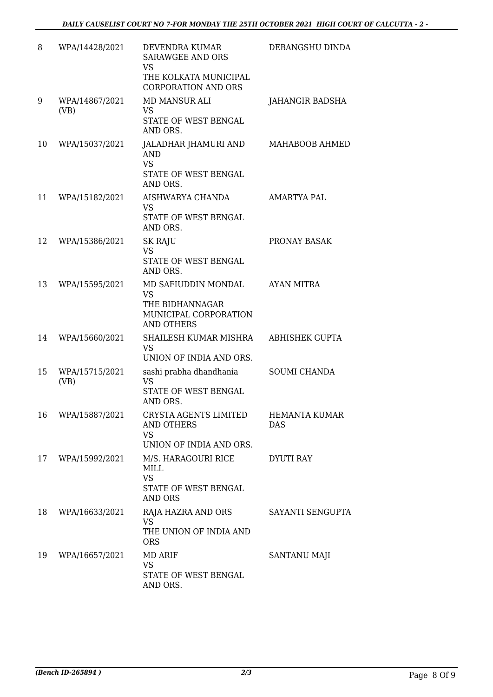| 8  | WPA/14428/2021         | DEVENDRA KUMAR<br><b>SARAWGEE AND ORS</b><br><b>VS</b><br>THE KOLKATA MUNICIPAL<br><b>CORPORATION AND ORS</b> | DEBANGSHU DINDA             |
|----|------------------------|---------------------------------------------------------------------------------------------------------------|-----------------------------|
| 9  | WPA/14867/2021<br>(VB) | <b>MD MANSUR ALI</b><br><b>VS</b><br>STATE OF WEST BENGAL<br>AND ORS.                                         | <b>JAHANGIR BADSHA</b>      |
| 10 | WPA/15037/2021         | JALADHAR JHAMURI AND<br><b>AND</b><br><b>VS</b><br>STATE OF WEST BENGAL<br>AND ORS.                           | MAHABOOB AHMED              |
| 11 | WPA/15182/2021         | AISHWARYA CHANDA<br><b>VS</b><br>STATE OF WEST BENGAL<br>AND ORS.                                             | <b>AMARTYA PAL</b>          |
| 12 | WPA/15386/2021         | <b>SK RAJU</b><br><b>VS</b><br>STATE OF WEST BENGAL<br>AND ORS.                                               | PRONAY BASAK                |
| 13 | WPA/15595/2021         | MD SAFIUDDIN MONDAL<br><b>VS</b><br>THE BIDHANNAGAR<br>MUNICIPAL CORPORATION<br><b>AND OTHERS</b>             | <b>AYAN MITRA</b>           |
| 14 | WPA/15660/2021         | SHAILESH KUMAR MISHRA<br><b>VS</b><br>UNION OF INDIA AND ORS.                                                 | <b>ABHISHEK GUPTA</b>       |
| 15 | WPA/15715/2021<br>(VB) | sashi prabha dhandhania<br><b>VS</b><br>STATE OF WEST BENGAL<br>AND ORS.                                      | <b>SOUMI CHANDA</b>         |
| 16 | WPA/15887/2021         | CRYSTA AGENTS LIMITED<br>AND OTHERS<br><b>VS</b><br>UNION OF INDIA AND ORS.                                   | <b>HEMANTA KUMAR</b><br>DAS |
| 17 | WPA/15992/2021         | M/S. HARAGOURI RICE<br>MILL<br><b>VS</b><br>STATE OF WEST BENGAL<br><b>AND ORS</b>                            | <b>DYUTI RAY</b>            |
| 18 | WPA/16633/2021         | RAJA HAZRA AND ORS<br><b>VS</b><br>THE UNION OF INDIA AND<br><b>ORS</b>                                       | SAYANTI SENGUPTA            |
| 19 | WPA/16657/2021         | <b>MD ARIF</b><br><b>VS</b><br>STATE OF WEST BENGAL<br>AND ORS.                                               | SANTANU MAJI                |